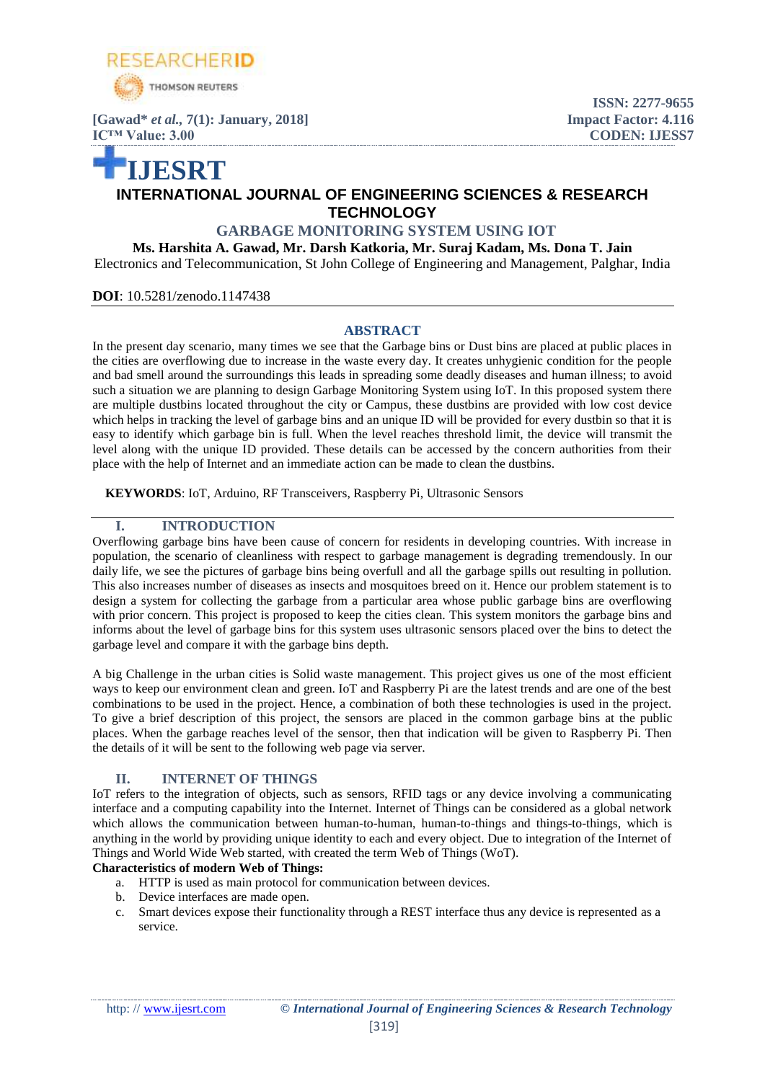

**[Gawad\*** *et al.,* **7(1): January, 2018] Impact Factor: 4.116 IC<sup>™</sup> Value: 3.00 CODEN: IJESS7** 

# **ISSN: 2277-9655**

## **IJESRT INTERNATIONAL JOURNAL OF ENGINEERING SCIENCES & RESEARCH TECHNOLOGY**

## **GARBAGE MONITORING SYSTEM USING IOT**

**Ms. Harshita A. Gawad, Mr. Darsh Katkoria, Mr. Suraj Kadam, Ms. Dona T. Jain** Electronics and Telecommunication, St John College of Engineering and Management, Palghar, India

**DOI**: 10.5281/zenodo.1147438

#### **ABSTRACT**

In the present day scenario, many times we see that the Garbage bins or Dust bins are placed at public places in the cities are overflowing due to increase in the waste every day. It creates unhygienic condition for the people and bad smell around the surroundings this leads in spreading some deadly diseases and human illness; to avoid such a situation we are planning to design Garbage Monitoring System using IoT. In this proposed system there are multiple dustbins located throughout the city or Campus, these dustbins are provided with low cost device which helps in tracking the level of garbage bins and an unique ID will be provided for every dustbin so that it is easy to identify which garbage bin is full. When the level reaches threshold limit, the device will transmit the level along with the unique ID provided. These details can be accessed by the concern authorities from their place with the help of Internet and an immediate action can be made to clean the dustbins.

**KEYWORDS**: IoT, Arduino, RF Transceivers, Raspberry Pi, Ultrasonic Sensors

#### **I. INTRODUCTION**

Overflowing garbage bins have been cause of concern for residents in developing countries. With increase in population, the scenario of cleanliness with respect to garbage management is degrading tremendously. In our daily life, we see the pictures of garbage bins being overfull and all the garbage spills out resulting in pollution. This also increases number of diseases as insects and mosquitoes breed on it. Hence our problem statement is to design a system for collecting the garbage from a particular area whose public garbage bins are overflowing with prior concern. This project is proposed to keep the cities clean. This system monitors the garbage bins and informs about the level of garbage bins for this system uses ultrasonic sensors placed over the bins to detect the garbage level and compare it with the garbage bins depth.

A big Challenge in the urban cities is Solid waste management. This project gives us one of the most efficient ways to keep our environment clean and green. IoT and Raspberry Pi are the latest trends and are one of the best combinations to be used in the project. Hence, a combination of both these technologies is used in the project. To give a brief description of this project, the sensors are placed in the common garbage bins at the public places. When the garbage reaches level of the sensor, then that indication will be given to Raspberry Pi. Then the details of it will be sent to the following web page via server.

## **II. INTERNET OF THINGS**

IoT refers to the integration of objects, such as sensors, RFID tags or any device involving a communicating interface and a computing capability into the Internet. Internet of Things can be considered as a global network which allows the communication between human-to-human, human-to-things and things-to-things, which is anything in the world by providing unique identity to each and every object. Due to integration of the Internet of Things and World Wide Web started, with created the term Web of Things (WoT).

#### **Characteristics of modern Web of Things:**

- a. HTTP is used as main protocol for communication between devices.
- b. Device interfaces are made open.
- c. Smart devices expose their functionality through a REST interface thus any device is represented as a service.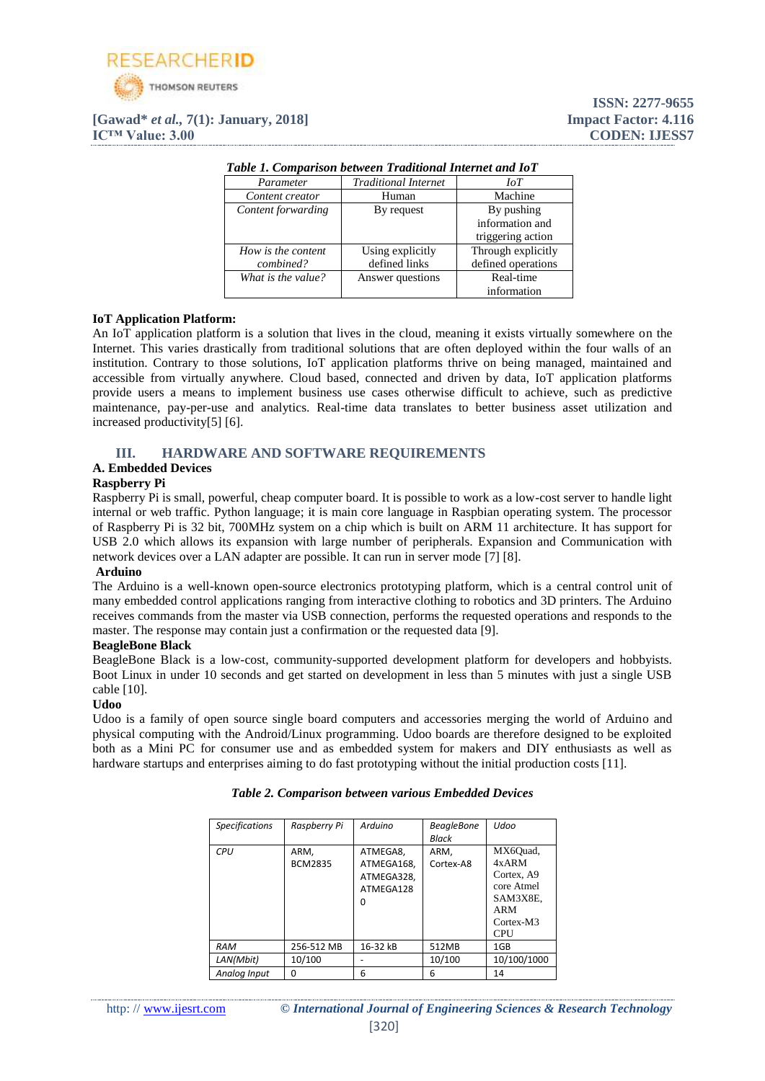

## **[Gawad\*** *et al.,* **7(1): January, 2018] Impact Factor: 4.116 IC<sup>™</sup> Value: 3.00 CODEN: IJESS7**

| Table 1. Comparison between Traditional Internet and IoT |                             |                    |  |
|----------------------------------------------------------|-----------------------------|--------------------|--|
| Parameter                                                | <b>Traditional Internet</b> | IоT                |  |
| Content creator                                          | Human                       | Machine            |  |
| Content forwarding                                       | By request                  | By pushing         |  |
|                                                          |                             | information and    |  |
|                                                          |                             | triggering action  |  |
| How is the content                                       | Using explicitly            | Through explicitly |  |
| combined?                                                | defined links               | defined operations |  |
| What is the value?                                       | Answer questions            | Real-time          |  |
|                                                          |                             | information        |  |

#### *Table 1. Comparison between Traditional Internet and IoT*

#### **IoT Application Platform:**

An IoT application platform is a solution that lives in the cloud, meaning it exists virtually somewhere on the Internet. This varies drastically from traditional solutions that are often deployed within the four walls of an institution. Contrary to those solutions, IoT application platforms thrive on being managed, maintained and accessible from virtually anywhere. Cloud based, connected and driven by data, IoT application platforms provide users a means to implement business use cases otherwise difficult to achieve, such as predictive maintenance, pay-per-use and analytics. Real-time data translates to better business asset utilization and increased productivity[5] [6].

## **III. HARDWARE AND SOFTWARE REQUIREMENTS**

#### **A. Embedded Devices**

#### **Raspberry Pi**

Raspberry Pi is small, powerful, cheap computer board. It is possible to work as a low-cost server to handle light internal or web traffic. Python language; it is main core language in Raspbian operating system. The processor of Raspberry Pi is 32 bit, 700MHz system on a chip which is built on ARM 11 architecture. It has support for USB 2.0 which allows its expansion with large number of peripherals. Expansion and Communication with network devices over a LAN adapter are possible. It can run in server mode [7] [8].

#### **Arduino**

The Arduino is a well-known open-source electronics prototyping platform, which is a central control unit of many embedded control applications ranging from interactive clothing to robotics and 3D printers. The Arduino receives commands from the master via USB connection, performs the requested operations and responds to the master. The response may contain just a confirmation or the requested data [9].

#### **BeagleBone Black**

BeagleBone Black is a low-cost, community-supported development platform for developers and hobbyists. Boot Linux in under 10 seconds and get started on development in less than 5 minutes with just a single USB cable [10].

#### **Udoo**

Udoo is a family of open source single board computers and accessories merging the world of Arduino and physical computing with the Android/Linux programming. Udoo boards are therefore designed to be exploited both as a Mini PC for consumer use and as embedded system for makers and DIY enthusiasts as well as hardware startups and enterprises aiming to do fast prototyping without the initial production costs [11].

| <b>Specifications</b> | Raspberry Pi           | Arduino                                                | <b>BeagleBone</b><br>Black | Udoo                                                                                                           |
|-----------------------|------------------------|--------------------------------------------------------|----------------------------|----------------------------------------------------------------------------------------------------------------|
| CPU                   | ARM.<br><b>BCM2835</b> | ATMEGA8,<br>ATMEGA168.<br>ATMEGA328.<br>ATMEGA128<br>O | ARM.<br>Cortex-A8          | MX6Ouad,<br>4xARM<br>Cortex, A9<br>core Atmel<br>SAM3X8E.<br><b>ARM</b><br>Cortex-M <sub>3</sub><br><b>CPU</b> |
| <b>RAM</b>            | 256-512 MB             | 16-32 kB                                               | 512MB                      | 1GB                                                                                                            |
| LAN(Mbit)             | 10/100                 |                                                        | 10/100                     | 10/100/1000                                                                                                    |
| Analog Input          | ŋ                      | 6                                                      | 6                          | 14                                                                                                             |

#### *Table 2. Comparison between various Embedded Devices*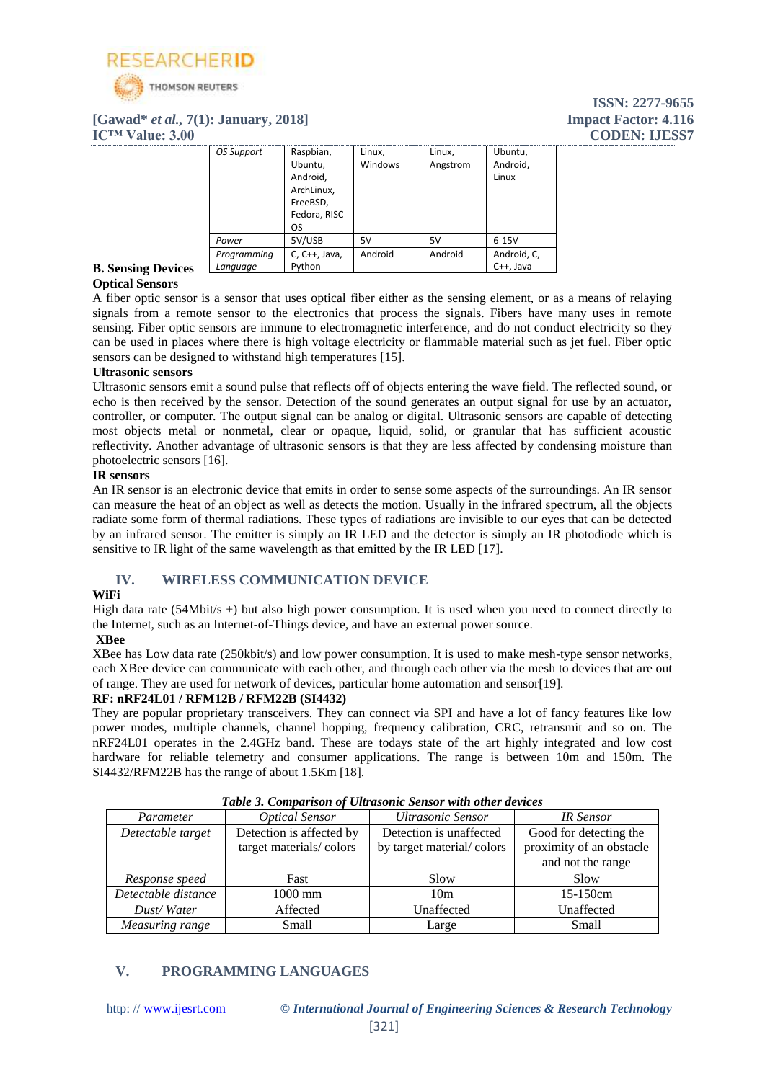

#### **[Gawad\*** *et al.,* **7(1): January, 2018] Impact Factor: 4.116 IC™ Value: 3.00 CODEN: IJESS7**

| OS Support  | Raspbian,       | Linux,  | Linux,   | Ubuntu,     |
|-------------|-----------------|---------|----------|-------------|
|             | Ubuntu,         | Windows | Angstrom | Android,    |
|             | Android,        |         |          | Linux       |
|             | ArchLinux,      |         |          |             |
|             | FreeBSD,        |         |          |             |
|             | Fedora, RISC    |         |          |             |
|             | OS              |         |          |             |
| Power       | 5V/USB          | 5V      | 5V       | $6-15V$     |
| Programming | $C, C++, Java,$ | Android | Android  | Android, C, |
| Language    | Python          |         |          | C++, Java   |

#### **B. Sensing Devices Optical Sensors**

A fiber optic sensor is a sensor that uses optical fiber either as the sensing element, or as a means of relaying signals from a remote sensor to the electronics that process the signals. Fibers have many uses in remote sensing. Fiber optic sensors are immune to electromagnetic interference, and do not conduct electricity so they can be used in places where there is high voltage electricity or flammable material such as jet fuel. Fiber optic sensors can be designed to withstand high temperatures [15].

#### **Ultrasonic sensors**

Ultrasonic sensors emit a sound pulse that reflects off of objects entering the wave field. The reflected sound, or echo is then received by the sensor. Detection of the sound generates an output signal for use by an actuator, controller, or computer. The output signal can be analog or digital. Ultrasonic sensors are capable of detecting most objects metal or nonmetal, clear or opaque, liquid, solid, or granular that has sufficient acoustic reflectivity. Another advantage of ultrasonic sensors is that they are less affected by condensing moisture than photoelectric sensors [16].

#### **IR sensors**

An IR sensor is an electronic device that emits in order to sense some aspects of the surroundings. An IR sensor can measure the heat of an object as well as detects the motion. Usually in the infrared spectrum, all the objects radiate some form of thermal radiations. These types of radiations are invisible to our eyes that can be detected by an infrared sensor. The emitter is simply an IR LED and the detector is simply an IR photodiode which is sensitive to IR light of the same wavelength as that emitted by the IR LED [17].

## **IV. WIRELESS COMMUNICATION DEVICE**

## **WiFi**

High data rate (54Mbit/s +) but also high power consumption. It is used when you need to connect directly to the Internet, such as an Internet-of-Things device, and have an external power source.

#### **XBee**

XBee has Low data rate (250kbit/s) and low power consumption. It is used to make mesh-type sensor networks, each XBee device can communicate with each other, and through each other via the mesh to devices that are out of range. They are used for network of devices, particular home automation and sensor[19].

## **RF: nRF24L01 / RFM12B / RFM22B (SI4432)**

They are popular proprietary transceivers. They can connect via SPI and have a lot of fancy features like low power modes, multiple channels, channel hopping, frequency calibration, CRC, retransmit and so on. The nRF24L01 operates in the 2.4GHz band. These are todays state of the art highly integrated and low cost hardware for reliable telemetry and consumer applications. The range is between 10m and 150m. The SI4432/RFM22B has the range of about 1.5Km [18].

| Tubic 9. Comparison of Curasonic Schsor with other acrites |                                                     |                                                      |                                                    |
|------------------------------------------------------------|-----------------------------------------------------|------------------------------------------------------|----------------------------------------------------|
| Parameter                                                  | <b>Optical Sensor</b>                               | Ultrasonic Sensor                                    | <b>IR</b> Sensor                                   |
| Detectable target                                          | Detection is affected by<br>target materials/colors | Detection is unaffected<br>by target material/colors | Good for detecting the<br>proximity of an obstacle |
|                                                            |                                                     |                                                      | and not the range                                  |
| Response speed                                             | Fast                                                | Slow                                                 | Slow                                               |
| Detectable distance                                        | $1000$ mm                                           | 10 <sub>m</sub>                                      | $15-150cm$                                         |
| Dust/Water                                                 | Affected                                            | Unaffected                                           | Unaffected                                         |
| Measuring range                                            | Small                                               | Large                                                | Small                                              |

#### *Table 3. Comparison of Ultrasonic Sensor with other devices*

## **V. PROGRAMMING LANGUAGES**

## **ISSN: 2277-9655**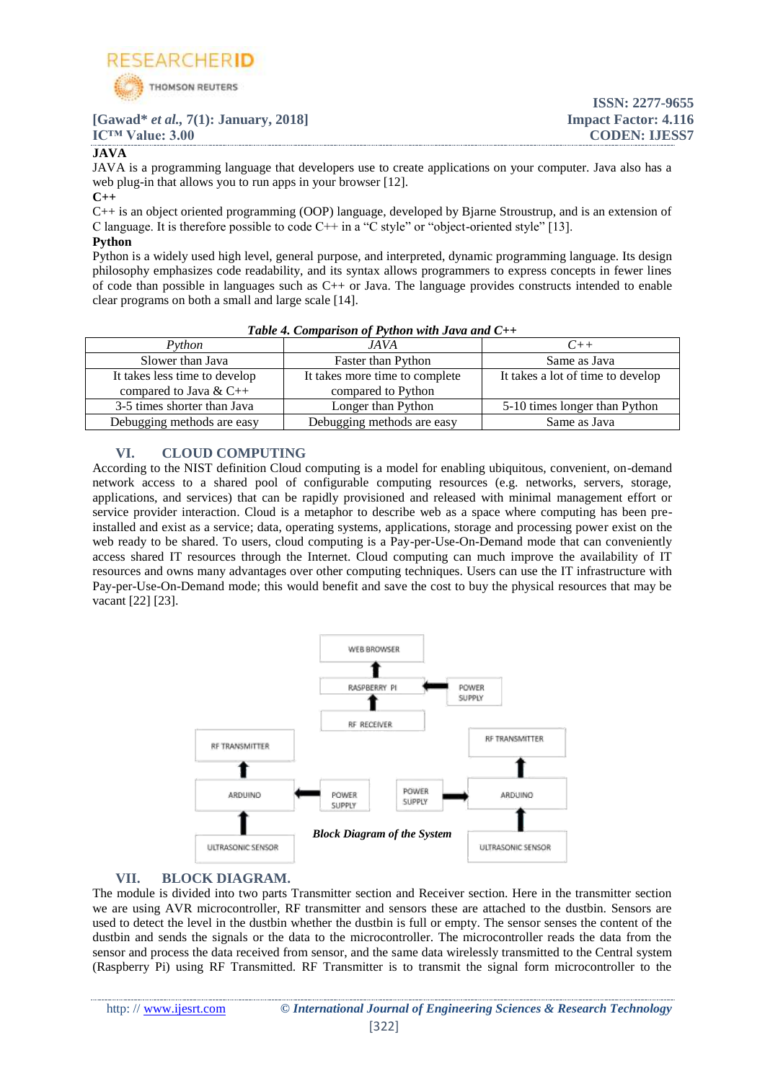

#### **ISSN: 2277-9655 [Gawad\*** *et al.,* **7(1): January, 2018] Impact Factor: 4.116 IC<sup>™</sup> Value: 3.00 CODEN: IJESS7 JAVA**

JAVA is a programming language that developers use to create applications on your computer. Java also has a web plug-in that allows you to run apps in your browser [12].

**C++**

C++ is an object oriented programming (OOP) language, developed by Bjarne Stroustrup, and is an extension of C language. It is therefore possible to code  $C++$  in a "C style" or "object-oriented style" [13].

#### **Python**

Python is a widely used high level, general purpose, and interpreted, dynamic programming language. Its design philosophy emphasizes code readability, and its syntax allows programmers to express concepts in fewer lines of code than possible in languages such as C++ or Java. The language provides constructs intended to enable clear programs on both a small and large scale [14].

| Python                        | JA VA                          |                                   |  |
|-------------------------------|--------------------------------|-----------------------------------|--|
| Slower than Java              | Faster than Python             | Same as Java                      |  |
| It takes less time to develop | It takes more time to complete | It takes a lot of time to develop |  |
| compared to Java & $C++$      | compared to Python             |                                   |  |
| 3-5 times shorter than Java   | Longer than Python             | 5-10 times longer than Python     |  |
| Debugging methods are easy    | Debugging methods are easy     | Same as Java                      |  |

#### *Table 4. Comparison of Python with Java and C++*

## **VI. CLOUD COMPUTING**

According to the NIST definition Cloud computing is a model for enabling ubiquitous, convenient, on-demand network access to a shared pool of configurable computing resources (e.g. networks, servers, storage, applications, and services) that can be rapidly provisioned and released with minimal management effort or service provider interaction. Cloud is a metaphor to describe web as a space where computing has been preinstalled and exist as a service; data, operating systems, applications, storage and processing power exist on the web ready to be shared. To users, cloud computing is a Pay-per-Use-On-Demand mode that can conveniently access shared IT resources through the Internet. Cloud computing can much improve the availability of IT resources and owns many advantages over other computing techniques. Users can use the IT infrastructure with Pay-per-Use-On-Demand mode; this would benefit and save the cost to buy the physical resources that may be vacant [22] [23].



## **VII. BLOCK DIAGRAM.**

The module is divided into two parts Transmitter section and Receiver section. Here in the transmitter section we are using AVR microcontroller, RF transmitter and sensors these are attached to the dustbin. Sensors are used to detect the level in the dustbin whether the dustbin is full or empty. The sensor senses the content of the dustbin and sends the signals or the data to the microcontroller. The microcontroller reads the data from the sensor and process the data received from sensor, and the same data wirelessly transmitted to the Central system (Raspberry Pi) using RF Transmitted. RF Transmitter is to transmit the signal form microcontroller to the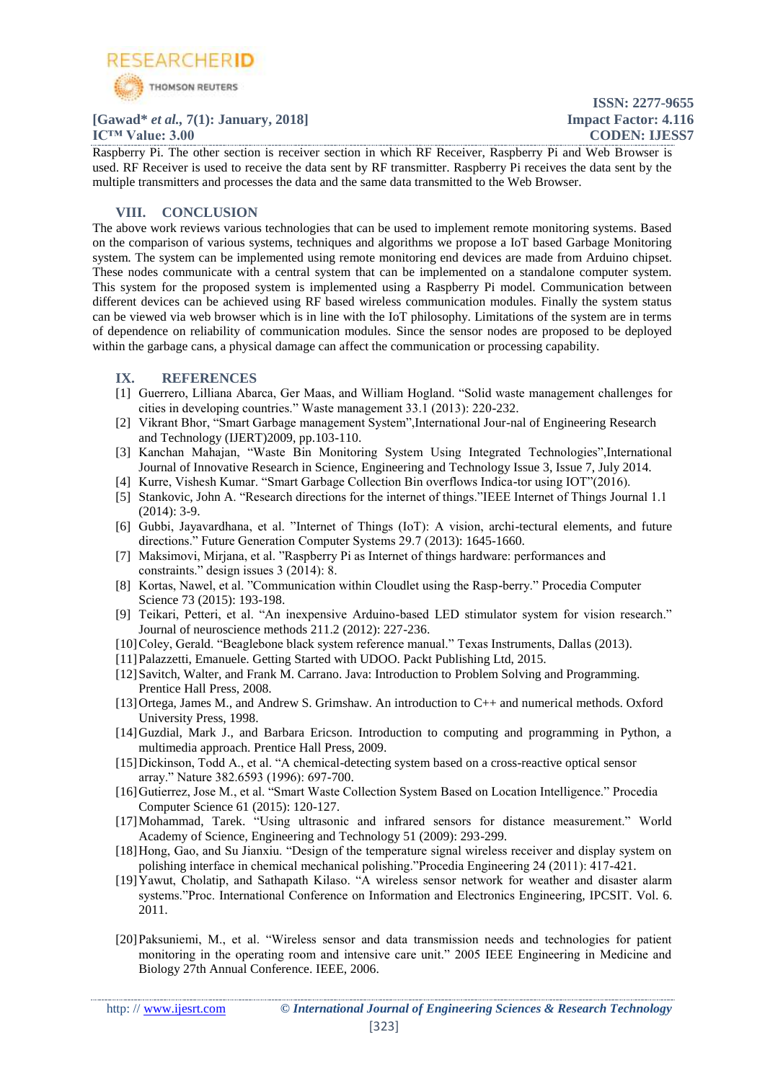

## **[Gawad\*** *et al.,* **7(1): January, 2018] Impact Factor: 4.116**

**ISSN: 2277-9655 IC™ Value: 3.00 CODEN: IJESS7**

Raspberry Pi. The other section is receiver section in which RF Receiver, Raspberry Pi and Web Browser is used. RF Receiver is used to receive the data sent by RF transmitter. Raspberry Pi receives the data sent by the multiple transmitters and processes the data and the same data transmitted to the Web Browser.

## **VIII. CONCLUSION**

The above work reviews various technologies that can be used to implement remote monitoring systems. Based on the comparison of various systems, techniques and algorithms we propose a IoT based Garbage Monitoring system. The system can be implemented using remote monitoring end devices are made from Arduino chipset. These nodes communicate with a central system that can be implemented on a standalone computer system. This system for the proposed system is implemented using a Raspberry Pi model. Communication between different devices can be achieved using RF based wireless communication modules. Finally the system status can be viewed via web browser which is in line with the IoT philosophy. Limitations of the system are in terms of dependence on reliability of communication modules. Since the sensor nodes are proposed to be deployed within the garbage cans, a physical damage can affect the communication or processing capability.

## **IX. REFERENCES**

- [1] Guerrero, Lilliana Abarca, Ger Maas, and William Hogland. "Solid waste management challenges for cities in developing countries." Waste management 33.1 (2013): 220-232.
- [2] Vikrant Bhor, "Smart Garbage management System",International Jour-nal of Engineering Research and Technology (IJERT)2009, pp.103-110.
- [3] Kanchan Mahajan, "Waste Bin Monitoring System Using Integrated Technologies",International Journal of Innovative Research in Science, Engineering and Technology Issue 3, Issue 7, July 2014.
- [4] Kurre, Vishesh Kumar. "Smart Garbage Collection Bin overflows Indica-tor using IOT"(2016).
- [5] Stankovic, John A. "Research directions for the internet of things."IEEE Internet of Things Journal 1.1 (2014): 3-9.
- [6] Gubbi, Jayavardhana, et al. "Internet of Things (IoT): A vision, archi-tectural elements, and future directions." Future Generation Computer Systems 29.7 (2013): 1645-1660.
- [7] Maksimovi, Mirjana, et al. "Raspberry Pi as Internet of things hardware: performances and constraints." design issues 3 (2014): 8.
- [8] Kortas, Nawel, et al. "Communication within Cloudlet using the Rasp-berry." Procedia Computer Science 73 (2015): 193-198.
- [9] Teikari, Petteri, et al. "An inexpensive Arduino-based LED stimulator system for vision research." Journal of neuroscience methods 211.2 (2012): 227-236.
- [10]Coley, Gerald. "Beaglebone black system reference manual." Texas Instruments, Dallas (2013).
- [11]Palazzetti, Emanuele. Getting Started with UDOO. Packt Publishing Ltd, 2015.
- [12] Savitch, Walter, and Frank M. Carrano. Java: Introduction to Problem Solving and Programming. Prentice Hall Press, 2008.
- [13]Ortega, James M., and Andrew S. Grimshaw. An introduction to C++ and numerical methods. Oxford University Press, 1998.
- [14]Guzdial, Mark J., and Barbara Ericson. Introduction to computing and programming in Python, a multimedia approach. Prentice Hall Press, 2009.
- [15]Dickinson, Todd A., et al. "A chemical-detecting system based on a cross-reactive optical sensor array." Nature 382.6593 (1996): 697-700.
- [16]Gutierrez, Jose M., et al. "Smart Waste Collection System Based on Location Intelligence." Procedia Computer Science 61 (2015): 120-127.
- [17]Mohammad, Tarek. "Using ultrasonic and infrared sensors for distance measurement." World Academy of Science, Engineering and Technology 51 (2009): 293-299.
- [18]Hong, Gao, and Su Jianxiu. "Design of the temperature signal wireless receiver and display system on polishing interface in chemical mechanical polishing."Procedia Engineering 24 (2011): 417-421.
- [19]Yawut, Cholatip, and Sathapath Kilaso. "A wireless sensor network for weather and disaster alarm systems."Proc. International Conference on Information and Electronics Engineering, IPCSIT. Vol. 6. 2011.
- [20]Paksuniemi, M., et al. "Wireless sensor and data transmission needs and technologies for patient monitoring in the operating room and intensive care unit." 2005 IEEE Engineering in Medicine and Biology 27th Annual Conference. IEEE, 2006.